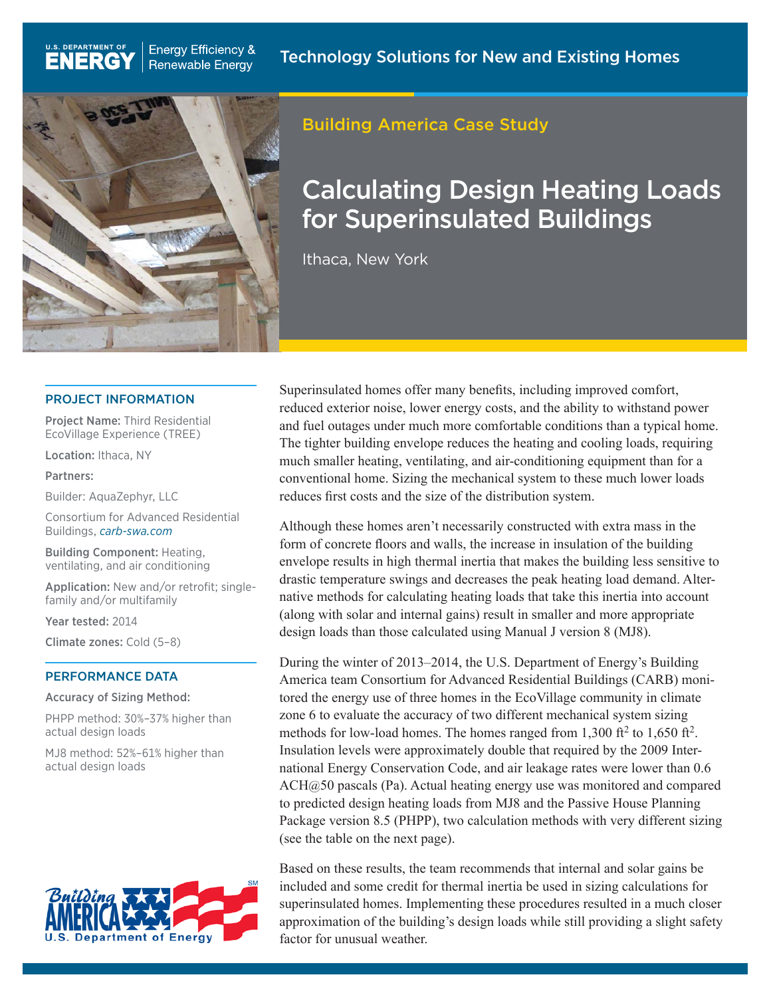

**Energy Efficiency &** 

**Renewable Energy** 

### Building America Case Study

# Calculating Design Heating Loads for Superinsulated Buildings

Ithaca, New York

#### PROJECT INFORMATION

Project Name: Third Residential EcoVillage Experience (TREE)

Location: Ithaca, NY

U.S. DEPARTMENT OF

**ENERG** 

Partners:

Builder: AquaZephyr, LLC

Consortium for Advanced Residential Buildings, *carb-swa.com*

Building Component: Heating, ventilating, and air conditioning

Application: New and/or retrofit; singlefamily and/or multifamily

Year tested: 2014

Climate zones: Cold (5–8)

#### PERFORMANCE DATA

Accuracy of Sizing Method:

PHPP method: 30%–37% higher than actual design loads

MJ8 method: 52%–61% higher than actual design loads



Superinsulated homes offer many benefits, including improved comfort, reduced exterior noise, lower energy costs, and the ability to withstand power and fuel outages under much more comfortable conditions than a typical home. The tighter building envelope reduces the heating and cooling loads, requiring much smaller heating, ventilating, and air-conditioning equipment than for a conventional home. Sizing the mechanical system to these much lower loads reduces first costs and the size of the distribution system.

Although these homes aren't necessarily constructed with extra mass in the form of concrete floors and walls, the increase in insulation of the building envelope results in high thermal inertia that makes the building less sensitive to drastic temperature swings and decreases the peak heating load demand. Alternative methods for calculating heating loads that take this inertia into account (along with solar and internal gains) result in smaller and more appropriate design loads than those calculated using Manual J version 8 (MJ8).

During the winter of 2013–2014, the U.S. Department of Energy's Building America team Consortium for Advanced Residential Buildings (CARB) monitored the energy use of three homes in the EcoVillage community in climate zone 6 to evaluate the accuracy of two different mechanical system sizing methods for low-load homes. The homes ranged from  $1,300$  ft<sup>2</sup> to  $1,650$  ft<sup>2</sup>. Insulation levels were approximately double that required by the 2009 International Energy Conservation Code, and air leakage rates were lower than 0.6 ACH@50 pascals (Pa). Actual heating energy use was monitored and compared to predicted design heating loads from MJ8 and the Passive House Planning Package version 8.5 (PHPP), two calculation methods with very different sizing (see the table on the next page).

Based on these results, the team recommends that internal and solar gains be included and some credit for thermal inertia be used in sizing calculations for superinsulated homes. Implementing these procedures resulted in a much closer approximation of the building's design loads while still providing a slight safety factor for unusual weather.